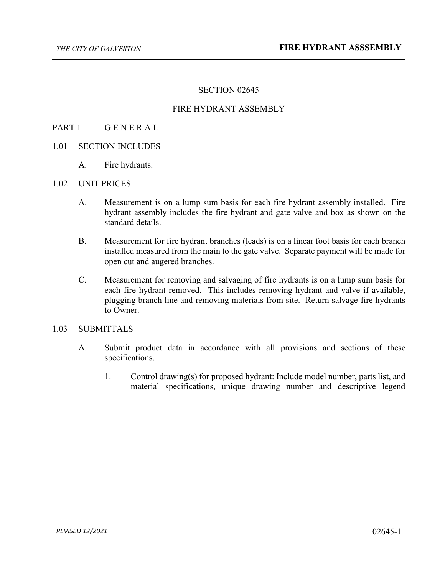## SECTION 02645

## FIRE HYDRANT ASSEMBLY

# PART 1 GENERAL

- 1.01 SECTION INCLUDES
	- A. Fire hydrants.

### 1.02 UNIT PRICES

- A. Measurement is on a lump sum basis for each fire hydrant assembly installed. Fire hydrant assembly includes the fire hydrant and gate valve and box as shown on the standard details.
- B. Measurement for fire hydrant branches (leads) is on a linear foot basis for each branch installed measured from the main to the gate valve. Separate payment will be made for open cut and augered branches.
- C. Measurement for removing and salvaging of fire hydrants is on a lump sum basis for each fire hydrant removed. This includes removing hydrant and valve if available, plugging branch line and removing materials from site. Return salvage fire hydrants to Owner.

### 1.03 SUBMITTALS

- A. Submit product data in accordance with all provisions and sections of these specifications.
	- 1. Control drawing(s) for proposed hydrant: Include model number, parts list, and material specifications, unique drawing number and descriptive legend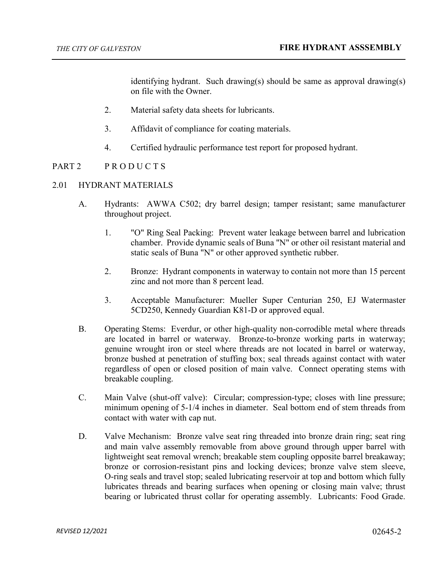identifying hydrant. Such drawing(s) should be same as approval drawing(s) on file with the Owner.

- 2. Material safety data sheets for lubricants.
- 3. Affidavit of compliance for coating materials.
- 4. Certified hydraulic performance test report for proposed hydrant.

### PART 2 PRODUCTS

# 2.01 HYDRANT MATERIALS

- A. Hydrants: AWWA C502; dry barrel design; tamper resistant; same manufacturer throughout project.
	- 1. "O" Ring Seal Packing: Prevent water leakage between barrel and lubrication chamber. Provide dynamic seals of Buna "N" or other oil resistant material and static seals of Buna "N" or other approved synthetic rubber.
	- 2. Bronze: Hydrant components in waterway to contain not more than 15 percent zinc and not more than 8 percent lead.
	- 3. Acceptable Manufacturer: Mueller Super Centurian 250, EJ Watermaster 5CD250, Kennedy Guardian K81-D or approved equal.
- B. Operating Stems: Everdur, or other high-quality non-corrodible metal where threads are located in barrel or waterway. Bronze-to-bronze working parts in waterway; genuine wrought iron or steel where threads are not located in barrel or waterway, bronze bushed at penetration of stuffing box; seal threads against contact with water regardless of open or closed position of main valve. Connect operating stems with breakable coupling.
- C. Main Valve (shut-off valve): Circular; compression-type; closes with line pressure; minimum opening of 5-1/4 inches in diameter. Seal bottom end of stem threads from contact with water with cap nut.
- D. Valve Mechanism: Bronze valve seat ring threaded into bronze drain ring; seat ring and main valve assembly removable from above ground through upper barrel with lightweight seat removal wrench; breakable stem coupling opposite barrel breakaway; bronze or corrosion-resistant pins and locking devices; bronze valve stem sleeve, O-ring seals and travel stop; sealed lubricating reservoir at top and bottom which fully lubricates threads and bearing surfaces when opening or closing main valve; thrust bearing or lubricated thrust collar for operating assembly. Lubricants: Food Grade.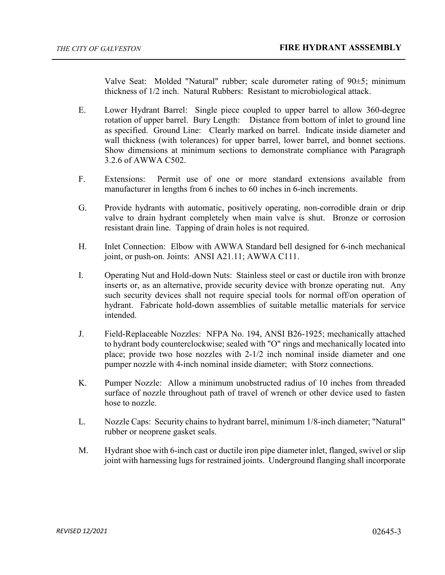Valve Seat: Molded "Natural" rubber; scale durometer rating of 90±5; minimum thickness of 1/2 inch. Natural Rubbers: Resistant to microbiological attack.

- E. Lower Hydrant Barrel: Single piece coupled to upper barrel to allow 360-degree rotation of upper barrel. Bury Length: Distance from bottom of inlet to ground line as specified. Ground Line: Clearly marked on barrel. Indicate inside diameter and wall thickness (with tolerances) for upper barrel, lower barrel, and bonnet sections. Show dimensions at minimum sections to demonstrate compliance with Paragraph 3.2.6 of AWWA C502.
- F. Extensions: Permit use of one or more standard extensions available from manufacturer in lengths from 6 inches to 60 inches in 6-inch increments.
- G. Provide hydrants with automatic, positively operating, non-corrodible drain or drip valve to drain hydrant completely when main valve is shut. Bronze or corrosion resistant drain line. Tapping of drain holes is not required.
- H. Inlet Connection: Elbow with AWWA Standard bell designed for 6-inch mechanical joint, or push-on. Joints: ANSI A21.11; AWWA C111.
- I. Operating Nut and Hold-down Nuts: Stainless steel or cast or ductile iron with bronze inserts or, as an alternative, provide security device with bronze operating nut. Any such security devices shall not require special tools for normal off/on operation of hydrant. Fabricate hold-down assemblies of suitable metallic materials for service intended.
- J. Field-Replaceable Nozzles: NFPA No. 194, ANSI B26-1925; mechanically attached to hydrant body counterclockwise; sealed with "O" rings and mechanically located into place; provide two hose nozzles with 2-1/2 inch nominal inside diameter and one pumper nozzle with 4-inch nominal inside diameter; with Storz connections.
- K. Pumper Nozzle: Allow a minimum unobstructed radius of 10 inches from threaded surface of nozzle throughout path of travel of wrench or other device used to fasten hose to nozzle.
- L. Nozzle Caps: Security chains to hydrant barrel, minimum 1/8-inch diameter; "Natural" rubber or neoprene gasket seals.
- M. Hydrant shoe with 6-inch cast or ductile iron pipe diameter inlet, flanged, swivel or slip joint with harnessing lugs for restrained joints. Underground flanging shall incorporate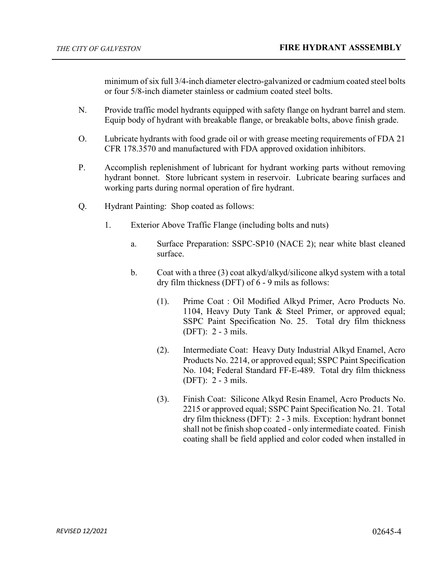minimum of six full 3/4-inch diameter electro-galvanized or cadmium coated steel bolts or four 5/8-inch diameter stainless or cadmium coated steel bolts.

- N. Provide traffic model hydrants equipped with safety flange on hydrant barrel and stem. Equip body of hydrant with breakable flange, or breakable bolts, above finish grade.
- O. Lubricate hydrants with food grade oil or with grease meeting requirements of FDA 21 CFR 178.3570 and manufactured with FDA approved oxidation inhibitors.
- P. Accomplish replenishment of lubricant for hydrant working parts without removing hydrant bonnet. Store lubricant system in reservoir. Lubricate bearing surfaces and working parts during normal operation of fire hydrant.
- Q. Hydrant Painting: Shop coated as follows:
	- 1. Exterior Above Traffic Flange (including bolts and nuts)
		- a. Surface Preparation: SSPC-SP10 (NACE 2); near white blast cleaned surface.
		- b. Coat with a three (3) coat alkyd/alkyd/silicone alkyd system with a total dry film thickness (DFT) of 6 - 9 mils as follows:
			- (1). Prime Coat : Oil Modified Alkyd Primer, Acro Products No. 1104, Heavy Duty Tank & Steel Primer, or approved equal; SSPC Paint Specification No. 25. Total dry film thickness (DFT): 2 - 3 mils.
			- (2). Intermediate Coat: Heavy Duty Industrial Alkyd Enamel, Acro Products No. 2214, or approved equal; SSPC Paint Specification No. 104; Federal Standard FF-E-489. Total dry film thickness (DFT): 2 - 3 mils.
			- (3). Finish Coat: Silicone Alkyd Resin Enamel, Acro Products No. 2215 or approved equal; SSPC Paint Specification No. 21. Total dry film thickness (DFT): 2 - 3 mils. Exception: hydrant bonnet shall not be finish shop coated - only intermediate coated. Finish coating shall be field applied and color coded when installed in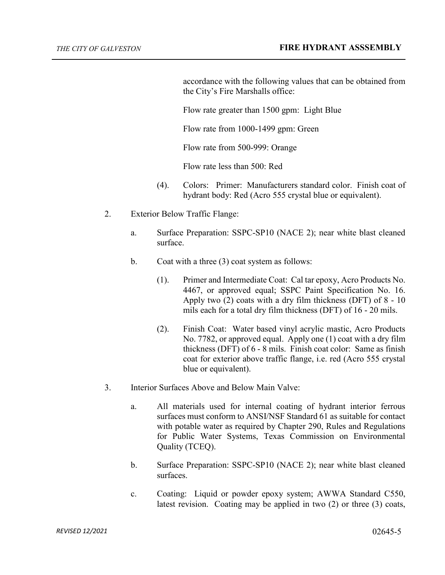accordance with the following values that can be obtained from the City's Fire Marshalls office:

Flow rate greater than 1500 gpm: Light Blue

Flow rate from 1000-1499 gpm: Green

Flow rate from 500-999: Orange

Flow rate less than 500: Red

- (4). Colors: Primer: Manufacturers standard color. Finish coat of hydrant body: Red (Acro 555 crystal blue or equivalent).
- 2. Exterior Below Traffic Flange:
	- a. Surface Preparation: SSPC-SP10 (NACE 2); near white blast cleaned surface.
	- b. Coat with a three (3) coat system as follows:
		- (1). Primer and Intermediate Coat: Cal tar epoxy, Acro Products No. 4467, or approved equal; SSPC Paint Specification No. 16. Apply two (2) coats with a dry film thickness (DFT) of 8 - 10 mils each for a total dry film thickness (DFT) of 16 - 20 mils.
		- (2). Finish Coat: Water based vinyl acrylic mastic, Acro Products No. 7782, or approved equal. Apply one (1) coat with a dry film thickness (DFT) of 6 - 8 mils. Finish coat color: Same as finish coat for exterior above traffic flange, i.e. red (Acro 555 crystal blue or equivalent).
- 3. Interior Surfaces Above and Below Main Valve:
	- a. All materials used for internal coating of hydrant interior ferrous surfaces must conform to ANSI/NSF Standard 61 as suitable for contact with potable water as required by Chapter 290, Rules and Regulations for Public Water Systems, Texas Commission on Environmental Quality (TCEQ).
	- b. Surface Preparation: SSPC-SP10 (NACE 2); near white blast cleaned surfaces.
	- c. Coating: Liquid or powder epoxy system; AWWA Standard C550, latest revision. Coating may be applied in two (2) or three (3) coats,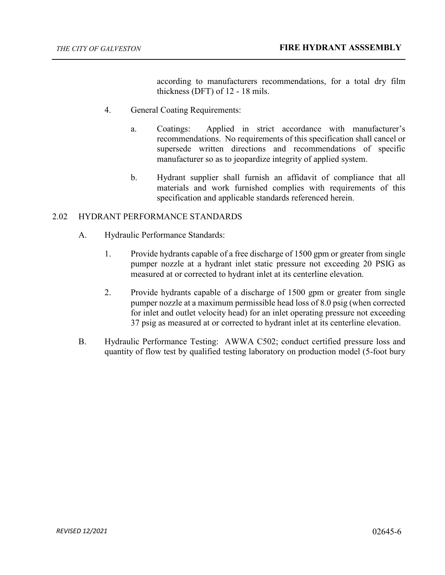according to manufacturers recommendations, for a total dry film thickness (DFT) of 12 - 18 mils.

- 4. General Coating Requirements:
	- a. Coatings: Applied in strict accordance with manufacturer's recommendations. No requirements of this specification shall cancel or supersede written directions and recommendations of specific manufacturer so as to jeopardize integrity of applied system.
	- b. Hydrant supplier shall furnish an affidavit of compliance that all materials and work furnished complies with requirements of this specification and applicable standards referenced herein.

## 2.02 HYDRANT PERFORMANCE STANDARDS

- A. Hydraulic Performance Standards:
	- 1. Provide hydrants capable of a free discharge of 1500 gpm or greater from single pumper nozzle at a hydrant inlet static pressure not exceeding 20 PSIG as measured at or corrected to hydrant inlet at its centerline elevation.
	- 2. Provide hydrants capable of a discharge of 1500 gpm or greater from single pumper nozzle at a maximum permissible head loss of 8.0 psig (when corrected for inlet and outlet velocity head) for an inlet operating pressure not exceeding 37 psig as measured at or corrected to hydrant inlet at its centerline elevation.
- B. Hydraulic Performance Testing: AWWA C502; conduct certified pressure loss and quantity of flow test by qualified testing laboratory on production model (5-foot bury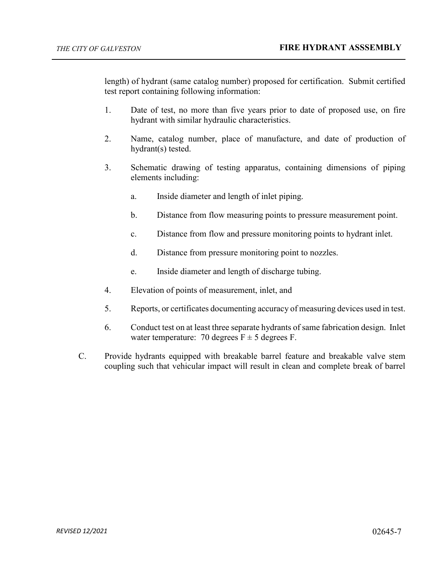length) of hydrant (same catalog number) proposed for certification. Submit certified test report containing following information:

- 1. Date of test, no more than five years prior to date of proposed use, on fire hydrant with similar hydraulic characteristics.
- 2. Name, catalog number, place of manufacture, and date of production of hydrant(s) tested.
- 3. Schematic drawing of testing apparatus, containing dimensions of piping elements including:
	- a. Inside diameter and length of inlet piping.
	- b. Distance from flow measuring points to pressure measurement point.
	- c. Distance from flow and pressure monitoring points to hydrant inlet.
	- d. Distance from pressure monitoring point to nozzles.
	- e. Inside diameter and length of discharge tubing.
- 4. Elevation of points of measurement, inlet, and
- 5. Reports, or certificates documenting accuracy of measuring devices used in test.
- 6. Conduct test on at least three separate hydrants of same fabrication design. Inlet water temperature: 70 degrees  $F \pm 5$  degrees F.
- C. Provide hydrants equipped with breakable barrel feature and breakable valve stem coupling such that vehicular impact will result in clean and complete break of barrel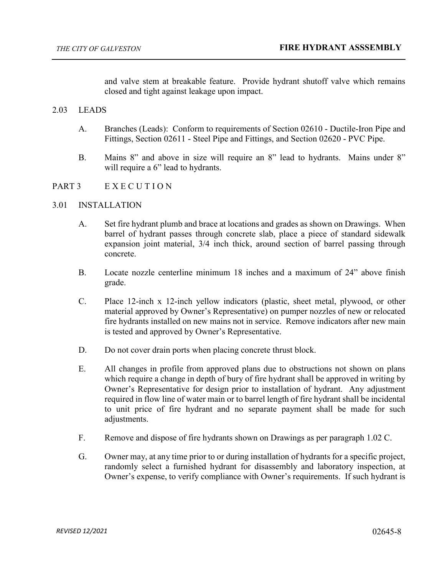and valve stem at breakable feature. Provide hydrant shutoff valve which remains closed and tight against leakage upon impact.

## 2.03 LEADS

- A. Branches (Leads): Conform to requirements of Section 02610 Ductile-Iron Pipe and Fittings, Section 02611 - Steel Pipe and Fittings, and Section 02620 - PVC Pipe.
- B. Mains 8" and above in size will require an 8" lead to hydrants. Mains under 8" will require a 6" lead to hydrants.

## PART 3 E X E C U T I O N

### 3.01 INSTALLATION

- A. Set fire hydrant plumb and brace at locations and grades as shown on Drawings. When barrel of hydrant passes through concrete slab, place a piece of standard sidewalk expansion joint material, 3/4 inch thick, around section of barrel passing through concrete.
- B. Locate nozzle centerline minimum 18 inches and a maximum of 24" above finish grade.
- C. Place 12-inch x 12-inch yellow indicators (plastic, sheet metal, plywood, or other material approved by Owner's Representative) on pumper nozzles of new or relocated fire hydrants installed on new mains not in service. Remove indicators after new main is tested and approved by Owner's Representative.
- D. Do not cover drain ports when placing concrete thrust block.
- E. All changes in profile from approved plans due to obstructions not shown on plans which require a change in depth of bury of fire hydrant shall be approved in writing by Owner's Representative for design prior to installation of hydrant. Any adjustment required in flow line of water main or to barrel length of fire hydrant shall be incidental to unit price of fire hydrant and no separate payment shall be made for such adjustments.
- F. Remove and dispose of fire hydrants shown on Drawings as per paragraph 1.02 C.
- G. Owner may, at any time prior to or during installation of hydrants for a specific project, randomly select a furnished hydrant for disassembly and laboratory inspection, at Owner's expense, to verify compliance with Owner's requirements. If such hydrant is